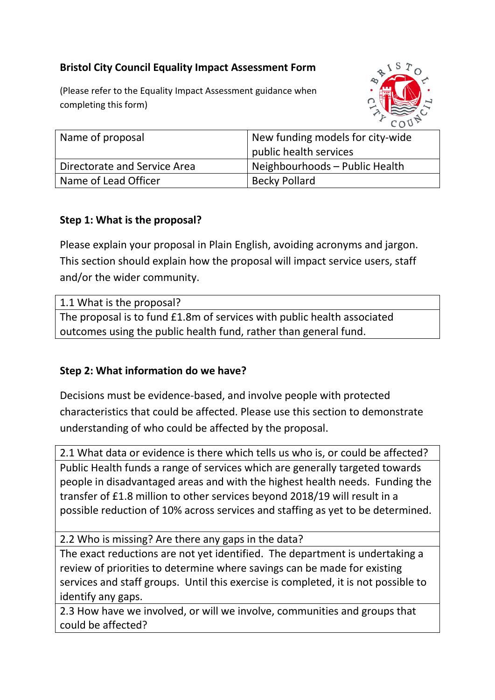# **Bristol City Council Equality Impact Assessment Form**

(Please refer to the Equality Impact Assessment guidance when completing this form)



| Name of proposal             | New funding models for city-wide |
|------------------------------|----------------------------------|
|                              | public health services           |
| Directorate and Service Area | Neighbourhoods – Public Health   |
| Name of Lead Officer         | <b>Becky Pollard</b>             |

# **Step 1: What is the proposal?**

Please explain your proposal in Plain English, avoiding acronyms and jargon. This section should explain how the proposal will impact service users, staff and/or the wider community.

| 1.1 What is the proposal?                                               |  |
|-------------------------------------------------------------------------|--|
| The proposal is to fund £1.8m of services with public health associated |  |
| outcomes using the public health fund, rather than general fund.        |  |

### **Step 2: What information do we have?**

Decisions must be evidence-based, and involve people with protected characteristics that could be affected. Please use this section to demonstrate understanding of who could be affected by the proposal.

2.1 What data or evidence is there which tells us who is, or could be affected? Public Health funds a range of services which are generally targeted towards people in disadvantaged areas and with the highest health needs. Funding the transfer of £1.8 million to other services beyond 2018/19 will result in a possible reduction of 10% across services and staffing as yet to be determined.

2.2 Who is missing? Are there any gaps in the data?

The exact reductions are not yet identified. The department is undertaking a review of priorities to determine where savings can be made for existing services and staff groups. Until this exercise is completed, it is not possible to identify any gaps.

2.3 How have we involved, or will we involve, communities and groups that could be affected?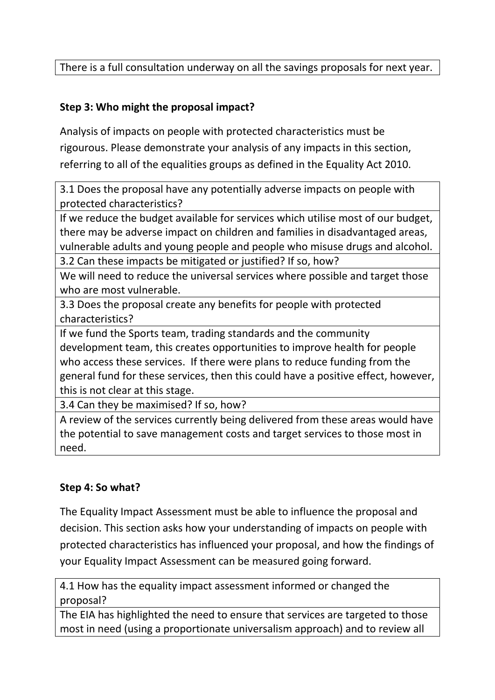There is a full consultation underway on all the savings proposals for next year.

# **Step 3: Who might the proposal impact?**

Analysis of impacts on people with protected characteristics must be rigourous. Please demonstrate your analysis of any impacts in this section, referring to all of the equalities groups as defined in the Equality Act 2010.

3.1 Does the proposal have any potentially adverse impacts on people with protected characteristics?

If we reduce the budget available for services which utilise most of our budget, there may be adverse impact on children and families in disadvantaged areas, vulnerable adults and young people and people who misuse drugs and alcohol. 3.2 Can these impacts be mitigated or justified? If so, how?

We will need to reduce the universal services where possible and target those who are most vulnerable.

3.3 Does the proposal create any benefits for people with protected characteristics?

If we fund the Sports team, trading standards and the community development team, this creates opportunities to improve health for people who access these services. If there were plans to reduce funding from the general fund for these services, then this could have a positive effect, however, this is not clear at this stage.

3.4 Can they be maximised? If so, how?

A review of the services currently being delivered from these areas would have the potential to save management costs and target services to those most in need.

### **Step 4: So what?**

The Equality Impact Assessment must be able to influence the proposal and decision. This section asks how your understanding of impacts on people with protected characteristics has influenced your proposal, and how the findings of your Equality Impact Assessment can be measured going forward.

4.1 How has the equality impact assessment informed or changed the proposal?

The EIA has highlighted the need to ensure that services are targeted to those most in need (using a proportionate universalism approach) and to review all